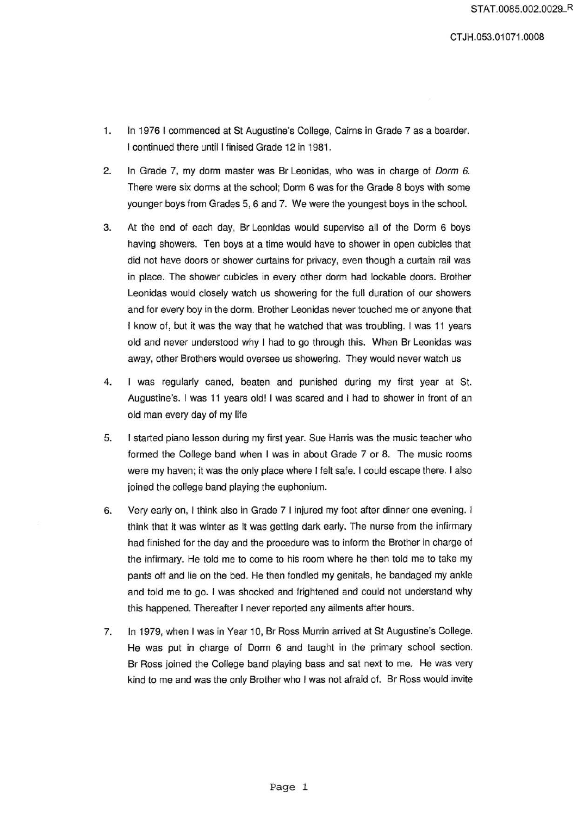## CT JH.053.01071.0008

- 1 . In 1976 I commenced at St Augustine's College, Cairns in Grade 7 as a boarder. I continued there until I finised Grade 12 in 1981.
- 2. In Grade 7, my dorm master was Br Leonidas, who was in charge of *Dorm 6*. There were six dorms at the school; Dorm 6 was for the Grade 8 boys with some younger boys from Grades 5, 6 and 7. We were the youngest boys in the school.
- 3. At the end of each day, Br Leonidas would supervise all of the Dorm 6 boys having showers. Ten boys at a time would have to shower in open cubicles that did not have doors or shower curtains for privacy, even though a curtain rail was in place. The shower cubicles in every other dorm had lockable doors. Brother Leonidas would closely watch us showering for the full duration of our showers and for every boy in the dorm. Brother Leonidas never touched me or anyone that I know of, but it was the way that he watched that was troubling. I was 11 years old and never understood why I had to go through this. When Br Leonidas was away, other Brothers would oversee us showering. They would never watch us
- 4. I was regularly caned, beaten and punished during my first year at St. Augustine's. I was 11 years old! I was scared and I had to shower in front of an old man every day of my life
- 5. I started piano lesson during my first year. Sue Harris was the music teacher who formed the College band when I was in about Grade 7 or 8. The music rooms were my haven; it was the only place where I felt safe. I could escape there. I also joined the college band playing the euphonium.
- 6. Very early on, I think also in Grade 7 I injured my foot after dinner one evening. I think that it was winter as it was getting dark early. The nurse from the infirmary had finished for the day and the procedure was to inform the Brother in charge of the infirmary. He told me to come to his room where he then told me to take my pants off and lie on the bed. He then fondled my genitals, he bandaged my ankle and told me to go. I was shocked and frightened and could not understand why this happened. Thereafter I never reported any ailments after hours.
- 7. In 1979, when I was in Year 10, Br Ross Murrin arrived at St Augustine's College. He was put in charge of Dorm 6 and taught in the primary school section. Br Ross joined the College band playing bass and sat next to me. He was very kind to me and was the only Brother who I was not afraid of. Br Ross would invite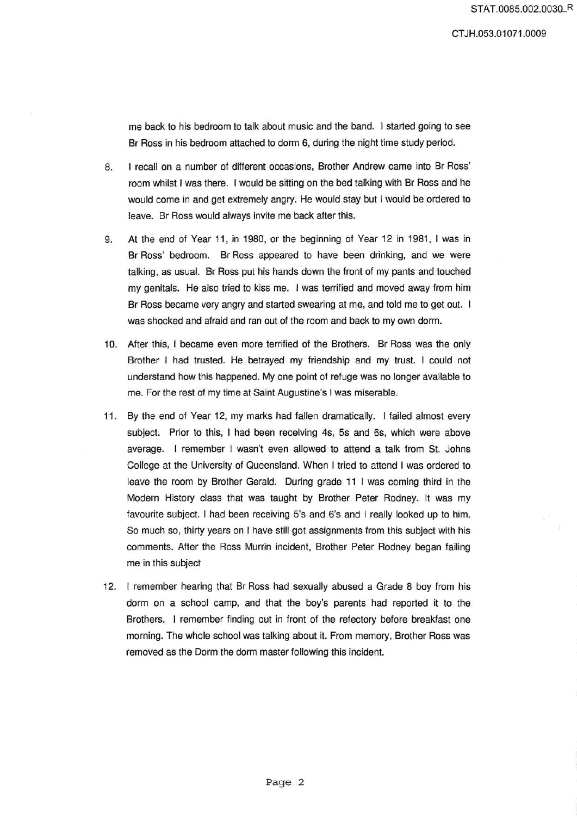## CT JH.053.01071.0009

me back to his bedroom to talk about music and the band. I started going to see Br Ross in his bedroom attached to dorm 6, during the night time study period.

- 8. I recall on a number of different occasions, Brother Andrew came into Br Ross' room whilst I was there. I would be sitting on the bed talking with Br Ross and he would come in and get extremely angry. He would stay but I would be ordered to leave. Br Ross would always invite me back after this.
- 9. At the end of Year 11, in 1980, or the beginning of Year 12 in 1981, I was in Br Ross' bedroom. Br Ross appeared to have been drinking, and we were talking, as usual. Br Ross put his hands down the front of my pants and touched my genitals. He also tried to kiss me. I was terrified and moved away from him Br Ross became very angry and started swearing at me, and told me to get out. I was shocked and afraid and ran out of the room and back to my own dorm.
- 10. After this, I became even more terrified of the Brothers. Br Ross was the only Brother I had trusted. He betrayed my friendship and my trust. I could not understand how this happened. My one point of refuge was no longer available to me. For the rest of my time at Saint Augustine's I was miserable.
- 11. By the end of Year 12, my marks had fallen dramatically. I failed almost every subject. Prior to this, I had been receiving 4s, 5s and 6s, which were above average. I remember I wasn't even allowed to attend a talk from St. Johns College at the University of Queensland. When I tried to attend I was ordered to leave the room by Brother Gerald. During grade 11 I was coming third in the Modern History class that was taught by Brother Peter Rodney. It was my favourite subject. I had been receiving 5's and 6's and I really looked up to him. So much so, thirty years on I have still got assignments from this subject with his comments. After the Ross Murrin incident, Brother Peter Rodney began failing me in this subject
- 12. I remember hearing that Br Ross had sexually abused a Grade 8 boy from his dorm on a school camp, and that the boy's parents had reported it to the Brothers. I remember finding out in front of the refectory before breakfast one morning. The whole school was talking about it. From memory, Brother Ross was removed as the Dorm the dorm master following this incident.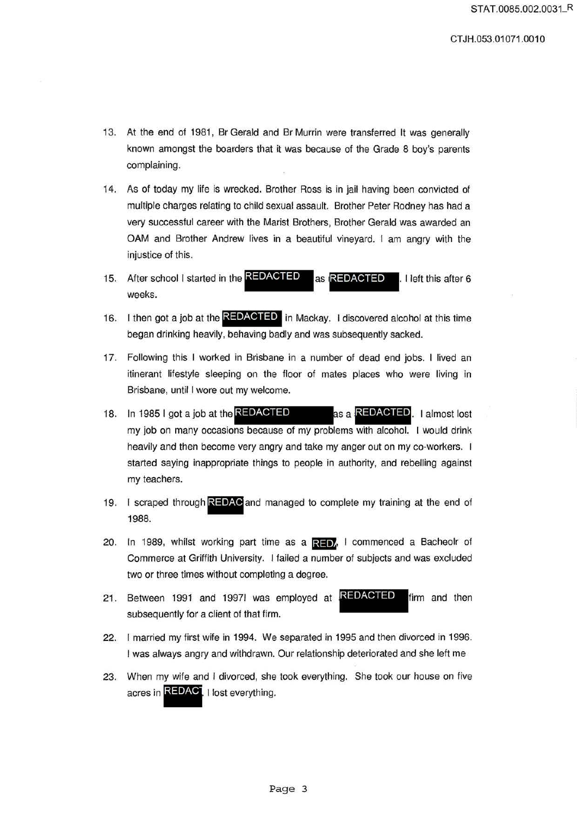## CT JH .053.01071 .0010

- 13. At the end of 1981, Br Gerald and Br Murrin were transferred It was generally known amongst the boarders that it was because of the Grade 8 boy's parents complaining.
- 14. As of today my life is wrecked. Brother Ross is in jail having been convicted of multiple charges relating to child sexual assault. Brother Peter Rodney has had a very successful career with the Marist Brothers, Brother Gerald was awarded an OAM and Brother Andrew lives in a beautiful vineyard. I am angry with the injustice of this.
- 15. After school I started in the **REDACTED** as **REDACTED** . I left this after 6 weeks.
- 16. I then got a job at the **REDACTED** in Mackay. I discovered alcohol at this time began drinking heavily, behaving badly and was subsequently sacked.
- 17. Following this I worked in Brisbane in a number of dead end jobs. I lived an itinerant lifestyle sleeping on the floor of mates places who were living in Brisbane, until I wore out my welcome.
- 18. In 1985 I got a job at the **REDACTED** as a **REDACTED**. I almost lost my job on many occasions because of my problems with alcohol. I would drink heavily and then become very angry and take my anger out on my co-workers. I started saying inappropriate things to people in authority, and rebelling against my teachers.
- 19. I scraped through **REDAC** and managed to complete my training at the end of 1988.
- 20. In 1989, whilst working part time as a **RED**. I commenced a Bacheolr of Commerce at Griffith University. I failed a number of subjects and was excluded two or three times without completing a degree.
- 21. Between 1991 and 19971 was employed at subsequently for a client of that firm. REDACTED firm and then
- 22. I married my first wife in 1994. We separated in 1995 and then divorced in 1996. I was always angry and withdrawn. Our relationship deteriorated and she left me
- 23. When my wife and I divorced, she took everything. She took our house on five acres in **REDAC**. I lost everything.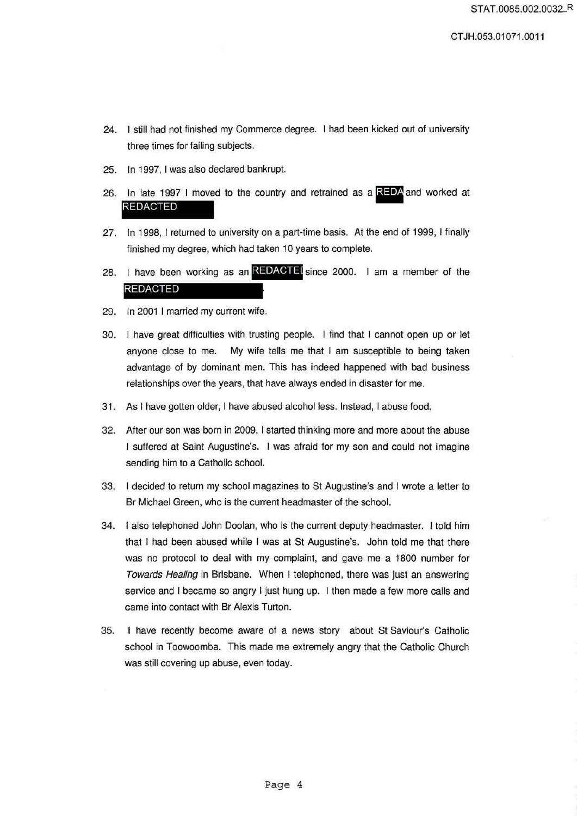- 24. I still had not finished my Commerce degree. I had been kicked out of university three times for failing subjects.
- 25. In 1997, I was also declared bankrupt.
- 26. In late 1997 I moved to the country and retrained as a  $REDA$  and worked at REDACTED
- 27. In 1998, I returned to university on a part-time basis. At the end of 1999, I finally finished my degree, which had taken 10 years to complete.
- 28. I have been working as an **REDACTE** since 2000. I am a member of the REDACTED
- 29. In 2001 I married my current wife.
- 30. I have great difficulties with trusting people. I find that I cannot open up or let anyone close to me. My wife tells me that I am susceptible to being taken advantage of by dominant men. This has indeed happened with bad business relationships over the years, that have always ended in disaster for me.
- 31. As I have gotten older, I have abused alcohol less. Instead, I abuse food.
- 32. After our son was born in 2009, I started thinking more and more about the abuse I suffered at Saint Augustine's. I was afraid for my son and could not imagine sending him to a Catholic school.
- 33. I decided to return my school magazines to St Augustine's and I wrote a letter to Br Michael Green, who is the current headmaster of the school.
- 34. I also telephoned John Doolan, who is the current deputy headmaster. I told him that I had been abused while I was at St Augustine's. John told me that there was no protocol to deal with my complaint, and gave me a 1800 number for Towards Healing in Brisbane. When I telephoned, there was just an answering service and I became so angry I just hung up. I then made a few more calls and came into contact with Br Alexis Turton.
- 35. I have recently become aware of a news story about St Saviour's Catholic school in Toowoomba. This made me extremely angry that the Catholic Church was still covering up abuse, even today.